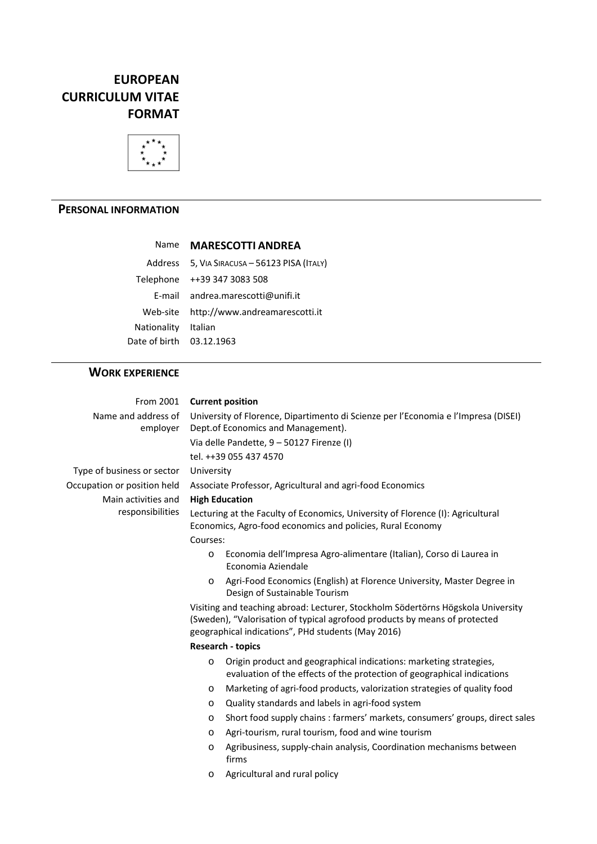# **EUROPEAN CURRICULUM VITAE FORMAT**



### **PERSONAL INFORMATION**

#### Name **MARESCOTTI ANDREA**

Address 5, VIA SIRACUSA – 56123 PISA (ITALY) Telephone ++39 347 3083 508 E‐mail andrea.marescotti@unifi.it Web‐site http://www.andreamarescotti.it Nationality Italian Date of birth 03.12.1963

## **WORK EXPERIENCE**

| From 2001                               | <b>Current position</b>                                                                                                                                                                                              |
|-----------------------------------------|----------------------------------------------------------------------------------------------------------------------------------------------------------------------------------------------------------------------|
| Name and address of<br>employer         | University of Florence, Dipartimento di Scienze per l'Economia e l'Impresa (DISEI)<br>Dept.of Economics and Management).                                                                                             |
|                                         | Via delle Pandette, 9 - 50127 Firenze (I)                                                                                                                                                                            |
|                                         | tel. ++39 055 437 4570                                                                                                                                                                                               |
| Type of business or sector              | University                                                                                                                                                                                                           |
| Occupation or position held             | Associate Professor, Agricultural and agri-food Economics                                                                                                                                                            |
| Main activities and<br>responsibilities | <b>High Education</b>                                                                                                                                                                                                |
|                                         | Lecturing at the Faculty of Economics, University of Florence (I): Agricultural<br>Economics, Agro-food economics and policies, Rural Economy                                                                        |
|                                         | Courses:                                                                                                                                                                                                             |
|                                         | Economia dell'Impresa Agro-alimentare (Italian), Corso di Laurea in<br>$\circ$<br>Economia Aziendale                                                                                                                 |
|                                         | Agri-Food Economics (English) at Florence University, Master Degree in<br>$\circ$<br>Design of Sustainable Tourism                                                                                                   |
|                                         | Visiting and teaching abroad: Lecturer, Stockholm Södertörns Högskola University<br>(Sweden), "Valorisation of typical agrofood products by means of protected<br>geographical indications", PHd students (May 2016) |
|                                         | <b>Research - topics</b>                                                                                                                                                                                             |
|                                         | Origin product and geographical indications: marketing strategies,<br>$\Omega$<br>evaluation of the effects of the protection of geographical indications                                                            |
|                                         | Marketing of agri-food products, valorization strategies of quality food<br>$\circ$                                                                                                                                  |
|                                         | Quality standards and labels in agri-food system<br>$\circ$                                                                                                                                                          |
|                                         | Short food supply chains : farmers' markets, consumers' groups, direct sales<br>$\circ$                                                                                                                              |
|                                         | Agri-tourism, rural tourism, food and wine tourism<br>$\circ$                                                                                                                                                        |
|                                         | Agribusiness, supply-chain analysis, Coordination mechanisms between<br>$\circ$<br>firms                                                                                                                             |
|                                         | Agricultural and rural policy<br>$\circ$                                                                                                                                                                             |
|                                         |                                                                                                                                                                                                                      |
|                                         |                                                                                                                                                                                                                      |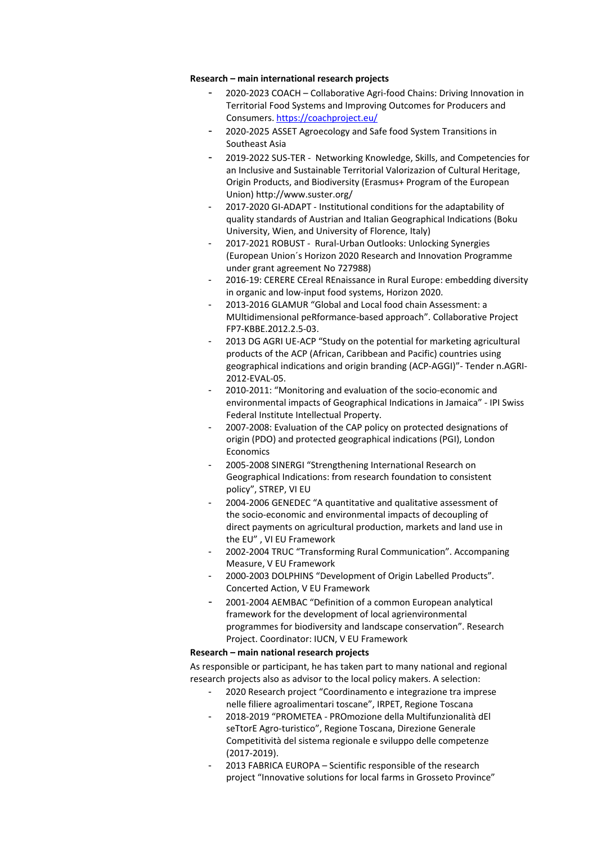#### **Research – main international research projects**

- 2020‐2023 COACH Collaborative Agri‐food Chains: Driving Innovation in Territorial Food Systems and Improving Outcomes for Producers and Consumers. https://coachproject.eu/
- 2020‐2025 ASSET Agroecology and Safe food System Transitions in Southeast Asia
- 2019‐2022 SUS‐TER ‐ Networking Knowledge, Skills, and Competencies for an Inclusive and Sustainable Territorial Valorizazion of Cultural Heritage, Origin Products, and Biodiversity (Erasmus+ Program of the European Union) http://www.suster.org/
- 2017‐2020 GI‐ADAPT ‐ Institutional conditions for the adaptability of quality standards of Austrian and Italian Geographical Indications (Boku University, Wien, and University of Florence, Italy)
- 2017‐2021 ROBUST ‐ Rural‐Urban Outlooks: Unlocking Synergies (European Union´s Horizon 2020 Research and Innovation Programme under grant agreement No 727988)
- 2016-19: CERERE CEreal REnaissance in Rural Europe: embedding diversity in organic and low‐input food systems, Horizon 2020.
- 2013-2016 GLAMUR "Global and Local food chain Assessment: a MUltidimensional peRformance‐based approach". Collaborative Project FP7‐KBBE.2012.2.5‐03.
- 2013 DG AGRI UE-ACP "Study on the potential for marketing agricultural products of the ACP (African, Caribbean and Pacific) countries using geographical indications and origin branding (ACP‐AGGI)"‐ Tender n.AGRI‐ 2012‐EVAL‐05.
- 2010‐2011: "Monitoring and evaluation of the socio‐economic and environmental impacts of Geographical Indications in Jamaica" ‐ IPI Swiss Federal Institute Intellectual Property.
- 2007-2008: Evaluation of the CAP policy on protected designations of origin (PDO) and protected geographical indications (PGI), London Economics
- 2005-2008 SINERGI "Strengthening International Research on Geographical Indications: from research foundation to consistent policy", STREP, VI EU
- 2004-2006 GENEDEC "A quantitative and qualitative assessment of the socio‐economic and environmental impacts of decoupling of direct payments on agricultural production, markets and land use in the EU" , VI EU Framework
- 2002‐2004 TRUC "Transforming Rural Communication". Accompaning Measure, V EU Framework
- 2000-2003 DOLPHINS "Development of Origin Labelled Products". Concerted Action, V EU Framework
- 2001‐2004 AEMBAC "Definition of a common European analytical framework for the development of local agrienvironmental programmes for biodiversity and landscape conservation". Research Project. Coordinator: IUCN, V EU Framework

#### **Research – main national research projects**

As responsible or participant, he has taken part to many national and regional research projects also as advisor to the local policy makers. A selection:

- 2020 Research project "Coordinamento e integrazione tra imprese nelle filiere agroalimentari toscane", IRPET, Regione Toscana
- 2018‐2019 "PROMETEA ‐ PROmozione della Multifunzionalità dEl seTtorE Agro-turistico", Regione Toscana, Direzione Generale Competitività del sistema regionale e sviluppo delle competenze (2017‐2019).
- 2013 FABRICA EUROPA Scientific responsible of the research project "Innovative solutions for local farms in Grosseto Province"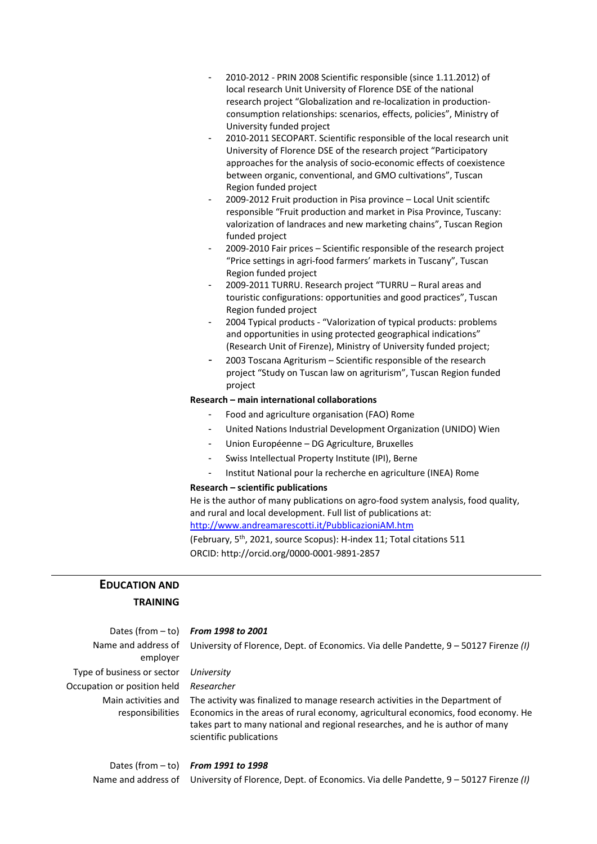- 2010-2012 PRIN 2008 Scientific responsible (since 1.11.2012) of local research Unit University of Florence DSE of the national research project "Globalization and re‐localization in production‐ consumption relationships: scenarios, effects, policies", Ministry of University funded project
- 2010-2011 SECOPART. Scientific responsible of the local research unit University of Florence DSE of the research project "Participatory approaches for the analysis of socio‐economic effects of coexistence between organic, conventional, and GMO cultivations", Tuscan Region funded project
- 2009-2012 Fruit production in Pisa province Local Unit scientifc responsible "Fruit production and market in Pisa Province, Tuscany: valorization of landraces and new marketing chains", Tuscan Region funded project
- 2009‐2010 Fair prices Scientific responsible of the research project "Price settings in agri‐food farmers' markets in Tuscany", Tuscan Region funded project
- 2009-2011 TURRU. Research project "TURRU Rural areas and touristic configurations: opportunities and good practices", Tuscan Region funded project
- 2004 Typical products ‐ "Valorization of typical products: problems and opportunities in using protected geographical indications" (Research Unit of Firenze), Ministry of University funded project;
- 2003 Toscana Agriturism Scientific responsible of the research project "Study on Tuscan law on agriturism", Tuscan Region funded project

#### **Research – main international collaborations**

- Food and agriculture organisation (FAO) Rome
- United Nations Industrial Development Organization (UNIDO) Wien
- Union Européenne DG Agriculture, Bruxelles
- Swiss Intellectual Property Institute (IPI), Berne
- Institut National pour la recherche en agriculture (INEA) Rome

#### **Research – scientific publications**

He is the author of many publications on agro-food system analysis, food quality, and rural and local development. Full list of publications at: http://www.andreamarescotti.it/PubblicazioniAM.htm

(February, 5th, 2021, source Scopus): H‐index 11; Total citations 511 ORCID: http://orcid.org/0000‐0001‐9891‐2857

## **EDUCATION AND TRAINING**

### Dates (from – to) *From 1998 to 2001*

University of Florence, Dept. of Economics. Via delle Pandette, 9 – 50127 Firenze *(I)*

Name and address of employer Type of business or sector *University* Occupation or position held *Researcher* Main activities and responsibilities

The activity was finalized to manage research activities in the Department of Economics in the areas of rural economy, agricultural economics, food economy. He takes part to many national and regional researches, and he is author of many scientific publications

#### Dates (from – to) *From 1991 to 1998*

Name and address of University of Florence, Dept. of Economics. Via delle Pandette, 9 – 50127 Firenze *(I)*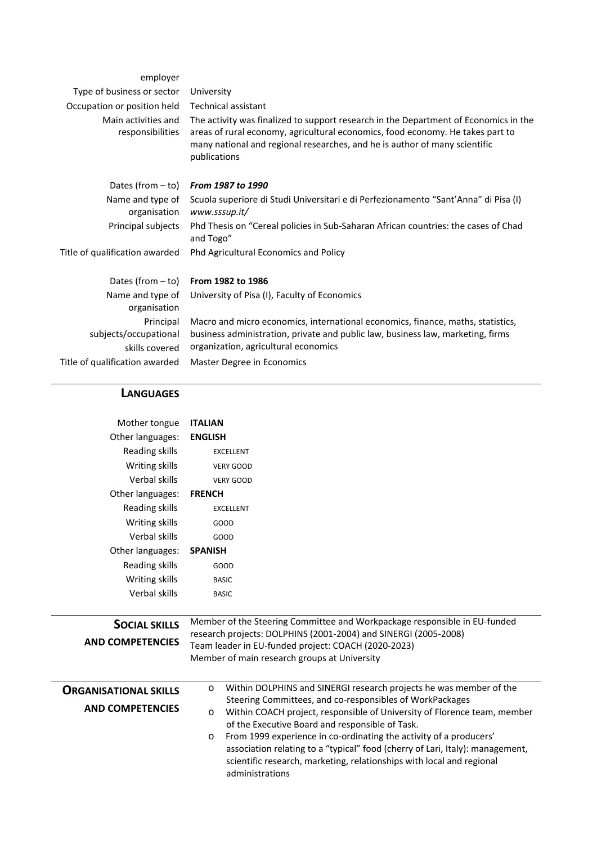| employer<br>Type of business or sector<br>Occupation or position held<br>Main activities and<br>responsibilities | University<br>Technical assistant<br>The activity was finalized to support research in the Department of Economics in the<br>areas of rural economy, agricultural economics, food economy. He takes part to<br>many national and regional researches, and he is author of many scientific<br>publications |
|------------------------------------------------------------------------------------------------------------------|-----------------------------------------------------------------------------------------------------------------------------------------------------------------------------------------------------------------------------------------------------------------------------------------------------------|
| Dates (from $-$ to)                                                                                              | From 1987 to 1990                                                                                                                                                                                                                                                                                         |
| Name and type of<br>organisation                                                                                 | Scuola superiore di Studi Universitari e di Perfezionamento "Sant'Anna" di Pisa (I)<br>www.sssup.it/                                                                                                                                                                                                      |
| Principal subjects                                                                                               | Phd Thesis on "Cereal policies in Sub-Saharan African countries: the cases of Chad<br>and Togo"                                                                                                                                                                                                           |
| Title of qualification awarded                                                                                   | Phd Agricultural Economics and Policy                                                                                                                                                                                                                                                                     |
| Dates (from $-$ to)                                                                                              | From 1982 to 1986                                                                                                                                                                                                                                                                                         |
| Name and type of<br>organisation                                                                                 | University of Pisa (I), Faculty of Economics                                                                                                                                                                                                                                                              |
| Principal<br>subjects/occupational<br>skills covered                                                             | Macro and micro economics, international economics, finance, maths, statistics,<br>business administration, private and public law, business law, marketing, firms<br>organization, agricultural economics                                                                                                |
| Title of qualification awarded                                                                                   | Master Degree in Economics                                                                                                                                                                                                                                                                                |

# **LANGUAGES**

| Mother tongue           | <b>ITALIAN</b>                                                            |
|-------------------------|---------------------------------------------------------------------------|
| Other languages:        | <b>ENGLISH</b>                                                            |
| Reading skills          | <b>EXCELLENT</b>                                                          |
| Writing skills          | <b>VERY GOOD</b>                                                          |
| Verbal skills           | <b>VERY GOOD</b>                                                          |
| Other languages:        | <b>FRENCH</b>                                                             |
| Reading skills          | <b>EXCELLENT</b>                                                          |
| Writing skills          | GOOD                                                                      |
| Verbal skills           | GOOD                                                                      |
| Other languages:        | <b>SPANISH</b>                                                            |
| Reading skills          | GOOD                                                                      |
| Writing skills          | <b>BASIC</b>                                                              |
| Verbal skills           | <b>BASIC</b>                                                              |
|                         |                                                                           |
|                         |                                                                           |
| <b>SOCIAL SKILLS</b>    | Member of the Steering Committee and Workpackage responsible in EU-funded |
|                         | research projects: DOLPHINS (2001-2004) and SINERGI (2005-2008)           |
| <b>AND COMPETENCIES</b> | Team leader in EU-funded project: COACH (2020-2023)                       |
|                         | Member of main research groups at University                              |